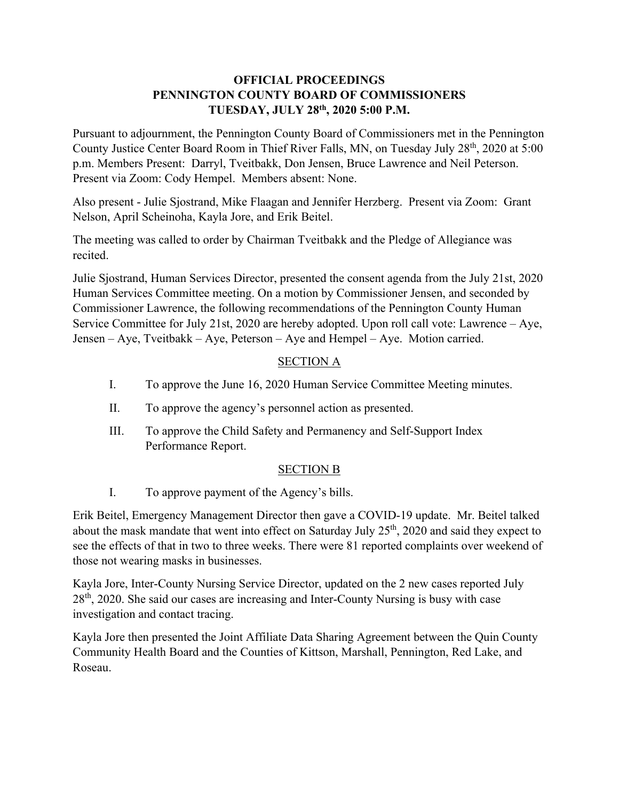## **OFFICIAL PROCEEDINGS PENNINGTON COUNTY BOARD OF COMMISSIONERS TUESDAY, JULY 28th, 2020 5:00 P.M.**

Pursuant to adjournment, the Pennington County Board of Commissioners met in the Pennington County Justice Center Board Room in Thief River Falls, MN, on Tuesday July 28<sup>th</sup>, 2020 at 5:00 p.m. Members Present: Darryl, Tveitbakk, Don Jensen, Bruce Lawrence and Neil Peterson. Present via Zoom: Cody Hempel. Members absent: None.

Also present - Julie Sjostrand, Mike Flaagan and Jennifer Herzberg. Present via Zoom: Grant Nelson, April Scheinoha, Kayla Jore, and Erik Beitel.

The meeting was called to order by Chairman Tveitbakk and the Pledge of Allegiance was recited.

Julie Sjostrand, Human Services Director, presented the consent agenda from the July 21st, 2020 Human Services Committee meeting. On a motion by Commissioner Jensen, and seconded by Commissioner Lawrence, the following recommendations of the Pennington County Human Service Committee for July 21st, 2020 are hereby adopted. Upon roll call vote: Lawrence – Aye, Jensen – Aye, Tveitbakk – Aye, Peterson – Aye and Hempel – Aye. Motion carried.

# SECTION A

- I. To approve the June 16, 2020 Human Service Committee Meeting minutes.
- II. To approve the agency's personnel action as presented.
- III. To approve the Child Safety and Permanency and Self-Support Index Performance Report.

## SECTION B

I. To approve payment of the Agency's bills.

Erik Beitel, Emergency Management Director then gave a COVID-19 update. Mr. Beitel talked about the mask mandate that went into effect on Saturday July 25<sup>th</sup>, 2020 and said they expect to see the effects of that in two to three weeks. There were 81 reported complaints over weekend of those not wearing masks in businesses.

Kayla Jore, Inter-County Nursing Service Director, updated on the 2 new cases reported July  $28<sup>th</sup>$ , 2020. She said our cases are increasing and Inter-County Nursing is busy with case investigation and contact tracing.

Kayla Jore then presented the Joint Affiliate Data Sharing Agreement between the Quin County Community Health Board and the Counties of Kittson, Marshall, Pennington, Red Lake, and Roseau.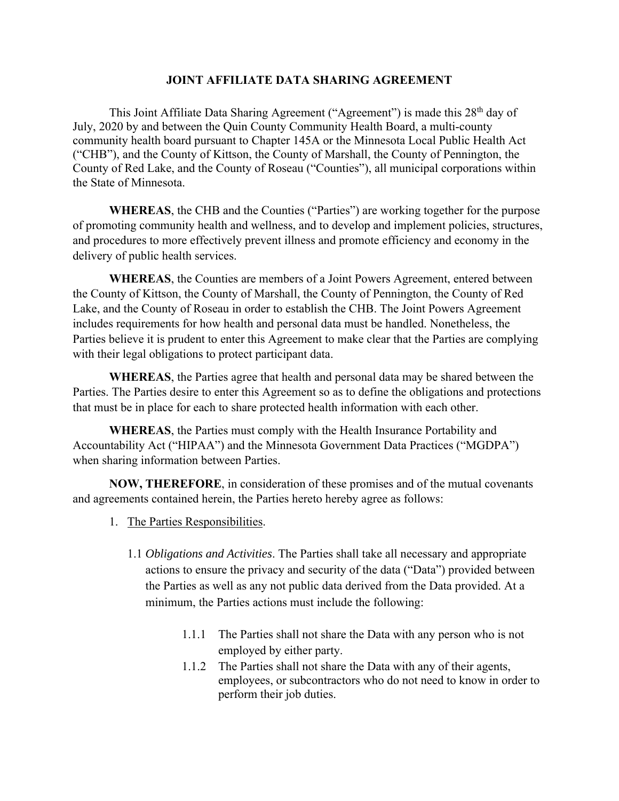#### **JOINT AFFILIATE DATA SHARING AGREEMENT**

This Joint Affiliate Data Sharing Agreement ("Agreement") is made this 28<sup>th</sup> day of July, 2020 by and between the Quin County Community Health Board, a multi-county community health board pursuant to Chapter 145A or the Minnesota Local Public Health Act ("CHB"), and the County of Kittson, the County of Marshall, the County of Pennington, the County of Red Lake, and the County of Roseau ("Counties"), all municipal corporations within the State of Minnesota.

**WHEREAS**, the CHB and the Counties ("Parties") are working together for the purpose of promoting community health and wellness, and to develop and implement policies, structures, and procedures to more effectively prevent illness and promote efficiency and economy in the delivery of public health services.

**WHEREAS**, the Counties are members of a Joint Powers Agreement, entered between the County of Kittson, the County of Marshall, the County of Pennington, the County of Red Lake, and the County of Roseau in order to establish the CHB. The Joint Powers Agreement includes requirements for how health and personal data must be handled. Nonetheless, the Parties believe it is prudent to enter this Agreement to make clear that the Parties are complying with their legal obligations to protect participant data.

**WHEREAS**, the Parties agree that health and personal data may be shared between the Parties. The Parties desire to enter this Agreement so as to define the obligations and protections that must be in place for each to share protected health information with each other.

**WHEREAS**, the Parties must comply with the Health Insurance Portability and Accountability Act ("HIPAA") and the Minnesota Government Data Practices ("MGDPA") when sharing information between Parties.

**NOW, THEREFORE**, in consideration of these promises and of the mutual covenants and agreements contained herein, the Parties hereto hereby agree as follows:

- 1. The Parties Responsibilities.
	- 1.1 *Obligations and Activities*. The Parties shall take all necessary and appropriate actions to ensure the privacy and security of the data ("Data") provided between the Parties as well as any not public data derived from the Data provided. At a minimum, the Parties actions must include the following:
		- 1.1.1 The Parties shall not share the Data with any person who is not employed by either party.
		- 1.1.2 The Parties shall not share the Data with any of their agents, employees, or subcontractors who do not need to know in order to perform their job duties.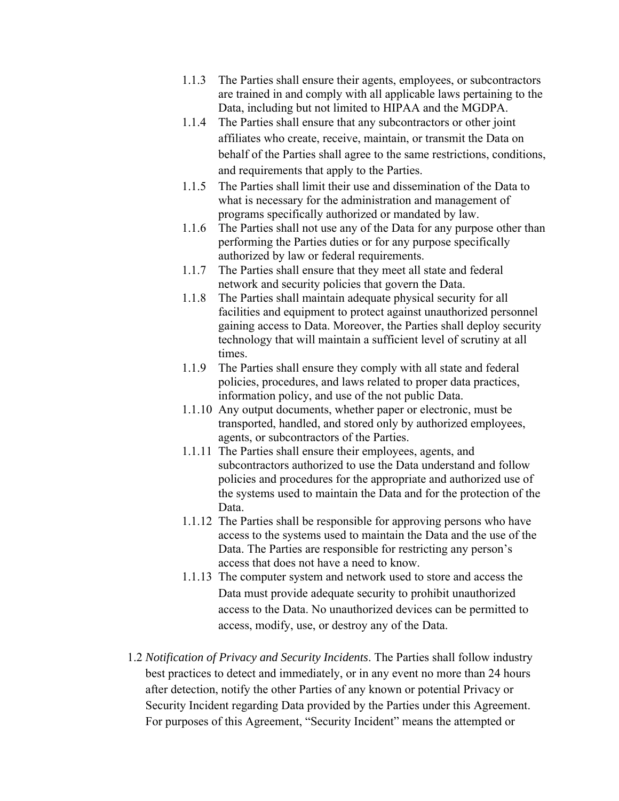- 1.1.3 The Parties shall ensure their agents, employees, or subcontractors are trained in and comply with all applicable laws pertaining to the Data, including but not limited to HIPAA and the MGDPA.
- 1.1.4 The Parties shall ensure that any subcontractors or other joint affiliates who create, receive, maintain, or transmit the Data on behalf of the Parties shall agree to the same restrictions, conditions, and requirements that apply to the Parties.
- 1.1.5 The Parties shall limit their use and dissemination of the Data to what is necessary for the administration and management of programs specifically authorized or mandated by law.
- 1.1.6 The Parties shall not use any of the Data for any purpose other than performing the Parties duties or for any purpose specifically authorized by law or federal requirements.
- 1.1.7 The Parties shall ensure that they meet all state and federal network and security policies that govern the Data.
- 1.1.8 The Parties shall maintain adequate physical security for all facilities and equipment to protect against unauthorized personnel gaining access to Data. Moreover, the Parties shall deploy security technology that will maintain a sufficient level of scrutiny at all times.
- 1.1.9 The Parties shall ensure they comply with all state and federal policies, procedures, and laws related to proper data practices, information policy, and use of the not public Data.
- 1.1.10 Any output documents, whether paper or electronic, must be transported, handled, and stored only by authorized employees, agents, or subcontractors of the Parties.
- 1.1.11 The Parties shall ensure their employees, agents, and subcontractors authorized to use the Data understand and follow policies and procedures for the appropriate and authorized use of the systems used to maintain the Data and for the protection of the Data.
- 1.1.12 The Parties shall be responsible for approving persons who have access to the systems used to maintain the Data and the use of the Data. The Parties are responsible for restricting any person's access that does not have a need to know.
- 1.1.13 The computer system and network used to store and access the Data must provide adequate security to prohibit unauthorized access to the Data. No unauthorized devices can be permitted to access, modify, use, or destroy any of the Data.
- 1.2 *Notification of Privacy and Security Incidents*. The Parties shall follow industry best practices to detect and immediately, or in any event no more than 24 hours after detection, notify the other Parties of any known or potential Privacy or Security Incident regarding Data provided by the Parties under this Agreement. For purposes of this Agreement, "Security Incident" means the attempted or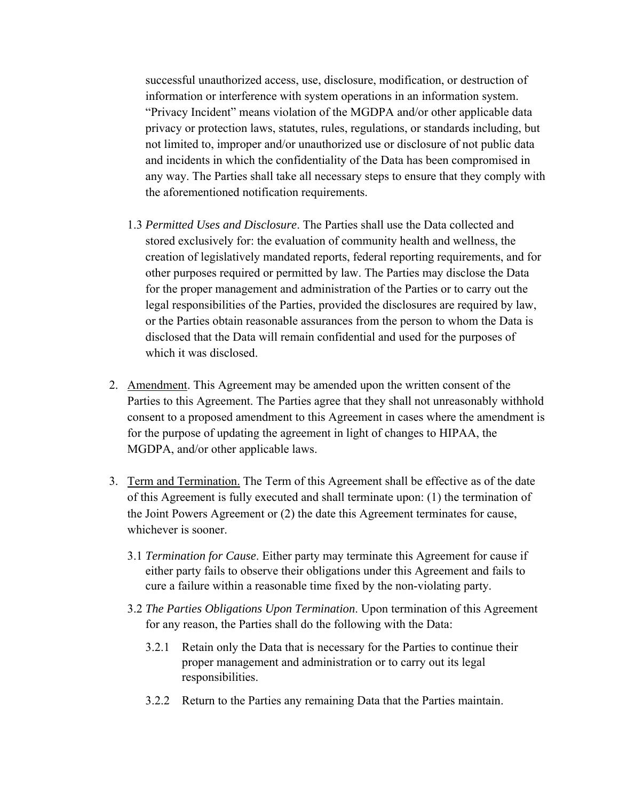successful unauthorized access, use, disclosure, modification, or destruction of information or interference with system operations in an information system. "Privacy Incident" means violation of the MGDPA and/or other applicable data privacy or protection laws, statutes, rules, regulations, or standards including, but not limited to, improper and/or unauthorized use or disclosure of not public data and incidents in which the confidentiality of the Data has been compromised in any way. The Parties shall take all necessary steps to ensure that they comply with the aforementioned notification requirements.

- 1.3 *Permitted Uses and Disclosure*. The Parties shall use the Data collected and stored exclusively for: the evaluation of community health and wellness, the creation of legislatively mandated reports, federal reporting requirements, and for other purposes required or permitted by law. The Parties may disclose the Data for the proper management and administration of the Parties or to carry out the legal responsibilities of the Parties, provided the disclosures are required by law, or the Parties obtain reasonable assurances from the person to whom the Data is disclosed that the Data will remain confidential and used for the purposes of which it was disclosed.
- 2. Amendment. This Agreement may be amended upon the written consent of the Parties to this Agreement. The Parties agree that they shall not unreasonably withhold consent to a proposed amendment to this Agreement in cases where the amendment is for the purpose of updating the agreement in light of changes to HIPAA, the MGDPA, and/or other applicable laws.
- 3. Term and Termination. The Term of this Agreement shall be effective as of the date of this Agreement is fully executed and shall terminate upon: (1) the termination of the Joint Powers Agreement or (2) the date this Agreement terminates for cause, whichever is sooner.
	- 3.1 *Termination for Cause*. Either party may terminate this Agreement for cause if either party fails to observe their obligations under this Agreement and fails to cure a failure within a reasonable time fixed by the non-violating party.
	- 3.2 *The Parties Obligations Upon Termination*. Upon termination of this Agreement for any reason, the Parties shall do the following with the Data:
		- 3.2.1 Retain only the Data that is necessary for the Parties to continue their proper management and administration or to carry out its legal responsibilities.
		- 3.2.2 Return to the Parties any remaining Data that the Parties maintain.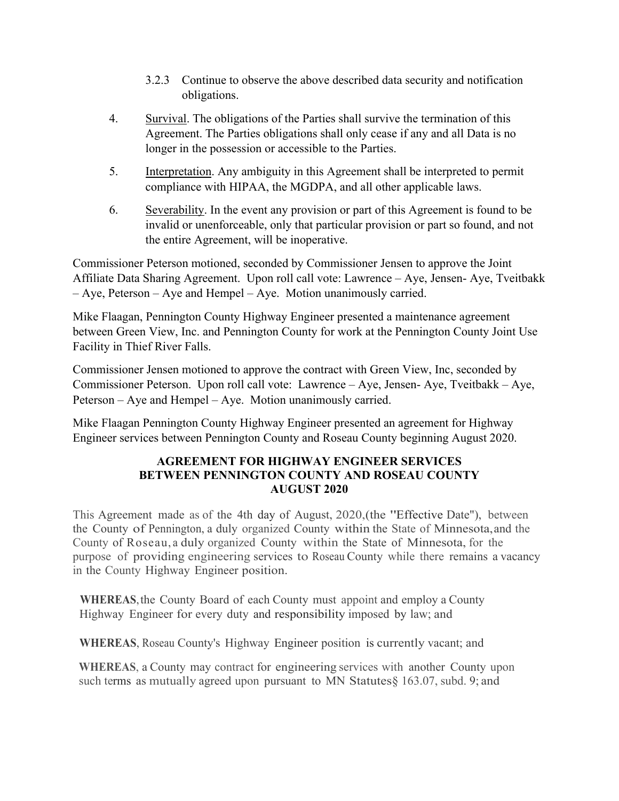- 3.2.3 Continue to observe the above described data security and notification obligations.
- 4. Survival. The obligations of the Parties shall survive the termination of this Agreement. The Parties obligations shall only cease if any and all Data is no longer in the possession or accessible to the Parties.
- 5. Interpretation. Any ambiguity in this Agreement shall be interpreted to permit compliance with HIPAA, the MGDPA, and all other applicable laws.
- 6. Severability. In the event any provision or part of this Agreement is found to be invalid or unenforceable, only that particular provision or part so found, and not the entire Agreement, will be inoperative.

Commissioner Peterson motioned, seconded by Commissioner Jensen to approve the Joint Affiliate Data Sharing Agreement. Upon roll call vote: Lawrence – Aye, Jensen- Aye, Tveitbakk – Aye, Peterson – Aye and Hempel – Aye. Motion unanimously carried.

Mike Flaagan, Pennington County Highway Engineer presented a maintenance agreement between Green View, Inc. and Pennington County for work at the Pennington County Joint Use Facility in Thief River Falls.

Commissioner Jensen motioned to approve the contract with Green View, Inc, seconded by Commissioner Peterson. Upon roll call vote: Lawrence – Aye, Jensen- Aye, Tveitbakk – Aye, Peterson – Aye and Hempel – Aye. Motion unanimously carried.

Mike Flaagan Pennington County Highway Engineer presented an agreement for Highway Engineer services between Pennington County and Roseau County beginning August 2020.

## **AGREEMENT FOR HIGHWAY ENGINEER SERVICES BETWEEN PENNINGTON COUNTY AND ROSEAU COUNTY AUGUST 2020**

This Agreement made as of the 4th day of August, 2020,(the "Effective Date"), between the County of Pennington, a duly organized County within the State of Minnesota, and the County of Roseau, a duly organized County within the State of Minnesota, for the purpose of providing engineering services to Roseau County while there remains a vacancy in the County Highway Engineer position.

**WHEREAS**, the County Board of each County must appoint and employ a County Highway Engineer for every duty and responsibility imposed by law; and

**WHEREAS**, Roseau County's Highway Engineer position is currently vacant; and

**WHEREAS**, a County may contract for engineering services with another County upon such terms as mutually agreed upon pursuant to MN Statutes  $\S$  163.07, subd. 9; and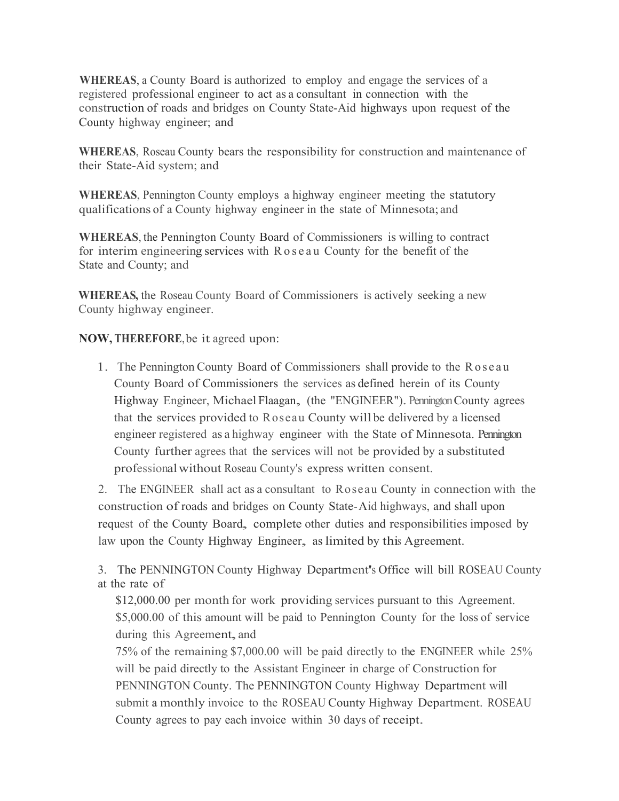**WHEREAS**, a County Board is authorized to employ and engage the services of a registered professional engineer to act as a consultant in connection with the construction of roads and bridges on County State-Aid highways upon request of the County highway engineer; and

**WHEREAS**, Roseau County bears the responsibility for construction and maintenance of their State-Aid system; and

**WHEREAS**, Pennington County employs a highway engineer meeting the statutory qualifications of a County highway engineer in the state of Minnesota; and

**WHEREAS**, the Pennington County Board of Commissioners is willing to contract for interim engineering services with R o s e a u County for the benefit of the State and County; and

**WHEREAS,** the Roseau County Board of Commissioners is actively seeking a new County highway engineer.

**NOW, THEREFORE**, be it agreed upon:

1. The Pennington County Board of Commissioners shall provide to the Roseau County Board of Commissioners the services as defined herein of its County Highway Engineer, Michael Flaagan, (the "ENGINEER"). PenningtonCounty agrees that the services provided to Roseau County will be delivered by a licensed engineer registered as a highway engineer with the State of Minnesota. Pennington County further agrees that the services will not be provided by a substituted professionalwithout Roseau County's express written consent.

2. The ENGINEER shall act as a consultant to Roseau County in connection with the construction of roads and bridges on County State-Aid highways, and shall upon request of the County Board, complete other duties and responsibilities imposed by law upon the County Highway Engineer, as limited by this Agreement.

3. The PENNINGTON County Highway Department's Office will bill ROSEAU County at the rate of

\$12,000.00 per month for work providing services pursuant to this Agreement. \$5,000.00 of this amount will be paid to Pennington County for the loss of service during this Agreement, and

75% of the remaining \$7,000.00 will be paid directly to the ENGINEER while 25% will be paid directly to the Assistant Engineer in charge of Construction for PENNINGTON County. The PENNINGTON County Highway Department will submit a monthly invoice to the ROSEAU County Highway Department. ROSEAU County agrees to pay each invoice within 30 days of receipt.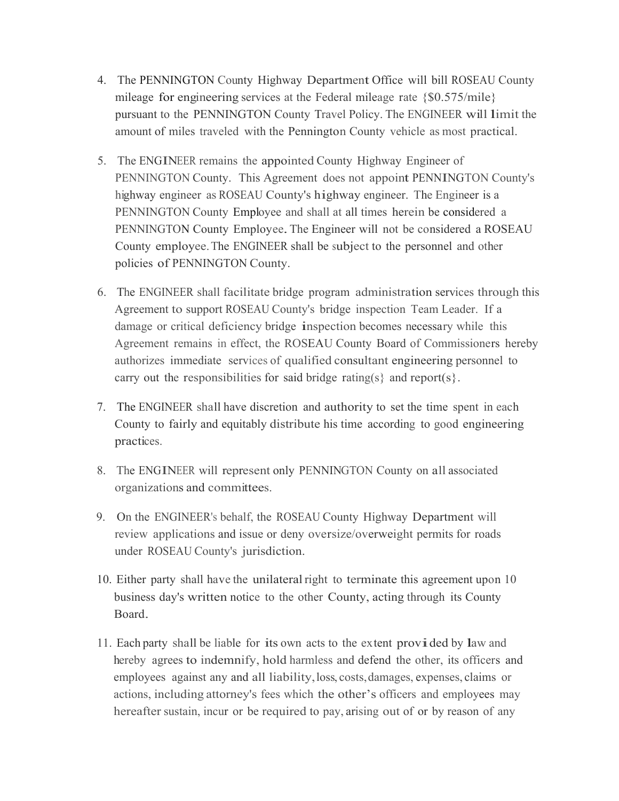- 4. The PENNINGTON County Highway Department Office will bill ROSEAU County mileage for engineering services at the Federal mileage rate {\$0.575/mile} pursuant to the PENNINGTON County Travel Policy. The ENGINEER will limit the amount of miles traveled with the Pennington County vehicle as most practical.
- 5. The ENGINEER remains the appointed County Highway Engineer of PENNINGTON County. This Agreement does not appoint PENNINGTON County's highway engineer as ROSEAU County's highway engineer. The Engineer is a PENNINGTON County Employee and shall at all times herein be considered a PENNINGTON County Employee.The Engineer will not be considered a ROSEAU County employee. The ENGINEER shall be subject to the personnel and other policies of PENNINGTON County.
- 6. The ENGINEER shall facilitate bridge program administration services through this Agreement to support ROSEAU County's bridge inspection Team Leader. If a damage or critical deficiency bridge inspection becomes necessary while this Agreement remains in effect, the ROSEAU County Board of Commissioners hereby authorizes immediate services of qualified consultant engineering personnel to carry out the responsibilities for said bridge rating(s} and report(s}.
- 7. The ENGINEER shall have discretion and authority to set the time spent in each County to fairly and equitably distribute his time according to good engineering practices.
- 8. The ENGINEER will represent only PENNINGTON County on all associated organizations and committees.
- 9. On the ENGINEER's behalf, the ROSEAU County Highway Department will review applications and issue or deny oversize/overweight permits for roads under ROSEAU County's jurisdiction.
- 10. Either party shall have the unilateral right to terminate this agreement upon 10 business day's written notice to the other County, acting through its County Board.
- 11. Each party shall be liable for its own acts to the ex tent provided by law and hereby agrees to indemnify, hold harmless and defend the other, its officers and employees against any and all liability,loss, costs, damages, expenses, claims or actions, including attorney's fees which the other's officers and employees may hereafter sustain, incur or be required to pay, arising out of or by reason of any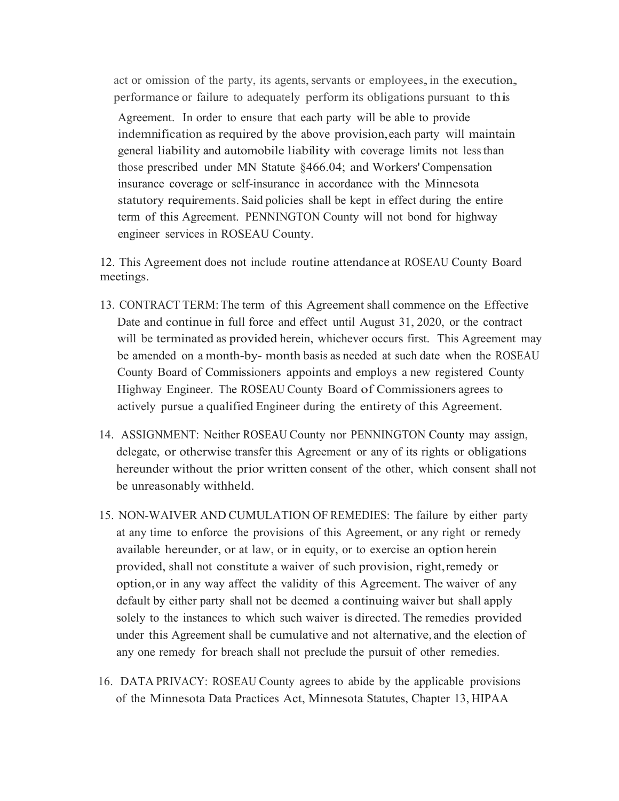act or omission of the party, its agents, servants or employees, in the execution, performance or failure to adequately perform its obligations pursuant to this Agreement. In order to ensure that each party will be able to provide indemnification as required by the above provision, each party will maintain general liability and automobile liability with coverage limits not less than those prescribed under MN Statute §466.04; and Workers' Compensation insurance coverage or self-insurance in accordance with the Minnesota statutory requirements. Said policies shall be kept in effect during the entire term of this Agreement. PENNINGTON County will not bond for highway engineer services in ROSEAU County.

12. This Agreement does not include routine attendance at ROSEAU County Board meetings.

- 13. CONTRACT TERM: The term of this Agreement shall commence on the Effective Date and continue in full force and effect until August 31, 2020, or the contract will be terminated as provided herein, whichever occurs first. This Agreement may be amended on a month-by- month basis as needed at such date when the ROSEAU County Board of Commissioners appoints and employs a new registered County Highway Engineer. The ROSEAU County Board of Commissioners agrees to actively pursue a qualified Engineer during the entirety of this Agreement.
- 14. ASSIGNMENT: Neither ROSEAU County nor PENNINGTON County may assign, delegate, or otherwise transfer this Agreement or any of its rights or obligations hereunder without the prior written consent of the other, which consent shall not be unreasonably withheld.
- 15. NON-WAIVER AND CUMULATION OF REMEDIES: The failure by either party at any time to enforce the provisions of this Agreement, or any right or remedy available hereunder, or at law, or in equity, or to exercise an option herein provided, shall not constitute a waiver of such provision, right,remedy or option, or in any way affect the validity of this Agreement. The waiver of any default by either party shall not be deemed a continuing waiver but shall apply solely to the instances to which such waiver is directed. The remedies provided under this Agreement shall be cumulative and not alternative, and the election of any one remedy for breach shall not preclude the pursuit of other remedies.
- 16. DATA PRIVACY: ROSEAU County agrees to abide by the applicable provisions of the Minnesota Data Practices Act, Minnesota Statutes, Chapter 13, HIPAA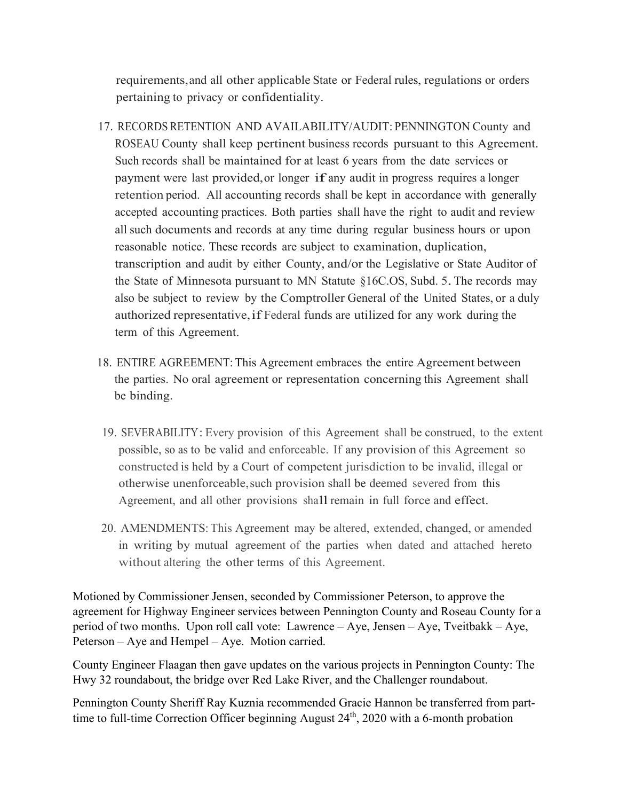requirements, and all other applicable State or Federal rules, regulations or orders pertaining to privacy or confidentiality.

- 17. RECORDS RETENTION AND AVAILABILITY/AUDIT: PENNINGTON County and ROSEAU County shall keep pertinent business records pursuant to this Agreement. Such records shall be maintained for at least 6 years from the date services or payment were last provided, or longer if any audit in progress requires a longer retention period. All accounting records shall be kept in accordance with generally accepted accounting practices. Both parties shall have the right to audit and review all such documents and records at any time during regular business hours or upon reasonable notice. These records are subject to examination, duplication, transcription and audit by either County, and/or the Legislative or State Auditor of the State of Minnesota pursuant to MN Statute §16C.OS, Subd. 5. The records may also be subject to review by the Comptroller General of the United States, or a duly authorized representative, if Federal funds are utilized for any work during the term of this Agreement.
- 18. ENTIRE AGREEMENT: This Agreement embraces the entire Agreement between the parties. No oral agreement or representation concerning this Agreement shall be binding.
- 19. SEVERABILITY:Every provision of this Agreement shall be construed, to the extent possible, so as to be valid and enforceable. If any provision of this Agreement so constructed is held by a Court of competent jurisdiction to be invalid, illegal or otherwise unenforceable, such provision shall be deemed severed from this Agreement, and all other provisions shall remain in full force and effect.
- 20. AMENDMENTS: This Agreement may be altered, extended, changed, or amended in writing by mutual agreement of the parties when dated and attached hereto without altering the other terms of this Agreement.

Motioned by Commissioner Jensen, seconded by Commissioner Peterson, to approve the agreement for Highway Engineer services between Pennington County and Roseau County for a period of two months. Upon roll call vote: Lawrence – Aye, Jensen – Aye, Tveitbakk – Aye, Peterson – Aye and Hempel – Aye. Motion carried.

County Engineer Flaagan then gave updates on the various projects in Pennington County: The Hwy 32 roundabout, the bridge over Red Lake River, and the Challenger roundabout.

Pennington County Sheriff Ray Kuznia recommended Gracie Hannon be transferred from parttime to full-time Correction Officer beginning August 24<sup>th</sup>, 2020 with a 6-month probation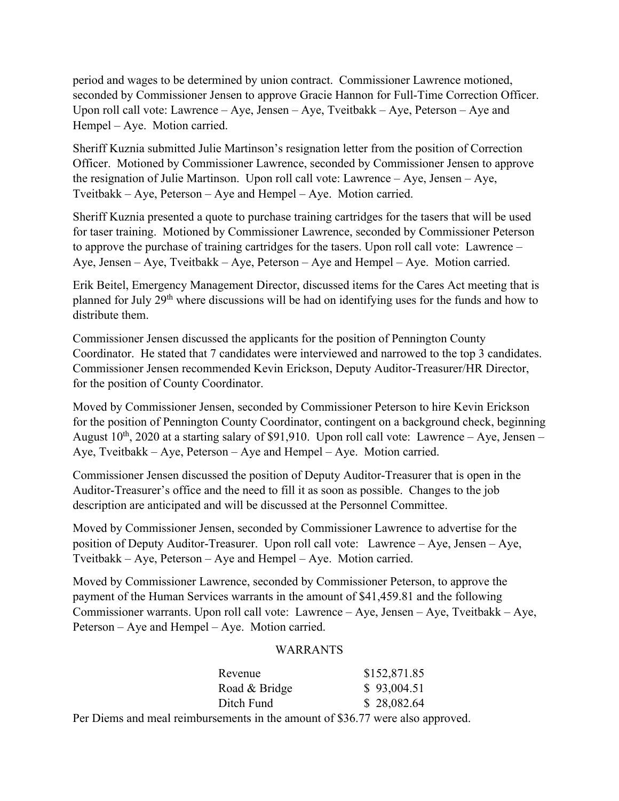period and wages to be determined by union contract. Commissioner Lawrence motioned, seconded by Commissioner Jensen to approve Gracie Hannon for Full-Time Correction Officer. Upon roll call vote: Lawrence – Aye, Jensen – Aye, Tveitbakk – Aye, Peterson – Aye and Hempel – Aye. Motion carried.

Sheriff Kuznia submitted Julie Martinson's resignation letter from the position of Correction Officer. Motioned by Commissioner Lawrence, seconded by Commissioner Jensen to approve the resignation of Julie Martinson. Upon roll call vote: Lawrence – Aye, Jensen – Aye, Tveitbakk – Aye, Peterson – Aye and Hempel – Aye. Motion carried.

Sheriff Kuznia presented a quote to purchase training cartridges for the tasers that will be used for taser training. Motioned by Commissioner Lawrence, seconded by Commissioner Peterson to approve the purchase of training cartridges for the tasers. Upon roll call vote: Lawrence – Aye, Jensen – Aye, Tveitbakk – Aye, Peterson – Aye and Hempel – Aye. Motion carried.

Erik Beitel, Emergency Management Director, discussed items for the Cares Act meeting that is planned for July 29th where discussions will be had on identifying uses for the funds and how to distribute them.

Commissioner Jensen discussed the applicants for the position of Pennington County Coordinator. He stated that 7 candidates were interviewed and narrowed to the top 3 candidates. Commissioner Jensen recommended Kevin Erickson, Deputy Auditor-Treasurer/HR Director, for the position of County Coordinator.

Moved by Commissioner Jensen, seconded by Commissioner Peterson to hire Kevin Erickson for the position of Pennington County Coordinator, contingent on a background check, beginning August  $10^{th}$ , 2020 at a starting salary of \$91,910. Upon roll call vote: Lawrence – Aye, Jensen – Aye, Tveitbakk – Aye, Peterson – Aye and Hempel – Aye. Motion carried.

Commissioner Jensen discussed the position of Deputy Auditor-Treasurer that is open in the Auditor-Treasurer's office and the need to fill it as soon as possible. Changes to the job description are anticipated and will be discussed at the Personnel Committee.

Moved by Commissioner Jensen, seconded by Commissioner Lawrence to advertise for the position of Deputy Auditor-Treasurer. Upon roll call vote: Lawrence – Aye, Jensen – Aye, Tveitbakk – Aye, Peterson – Aye and Hempel – Aye. Motion carried.

Moved by Commissioner Lawrence, seconded by Commissioner Peterson, to approve the payment of the Human Services warrants in the amount of \$41,459.81 and the following Commissioner warrants. Upon roll call vote: Lawrence – Aye, Jensen – Aye, Tveitbakk – Aye, Peterson – Aye and Hempel – Aye. Motion carried.

#### WARRANTS

|                  |  | Revenue       |                                                  | \$152,871.85 |
|------------------|--|---------------|--------------------------------------------------|--------------|
|                  |  | Road & Bridge |                                                  | \$93,004.51  |
|                  |  | Ditch Fund    |                                                  | \$28,082.64  |
| $\mathbf{\cdot}$ |  |               | $\sim$ $\sim$ $\sim$ $\sim$ $\sim$ $\sim$ $\sim$ |              |

Per Diems and meal reimbursements in the amount of \$36.77 were also approved.